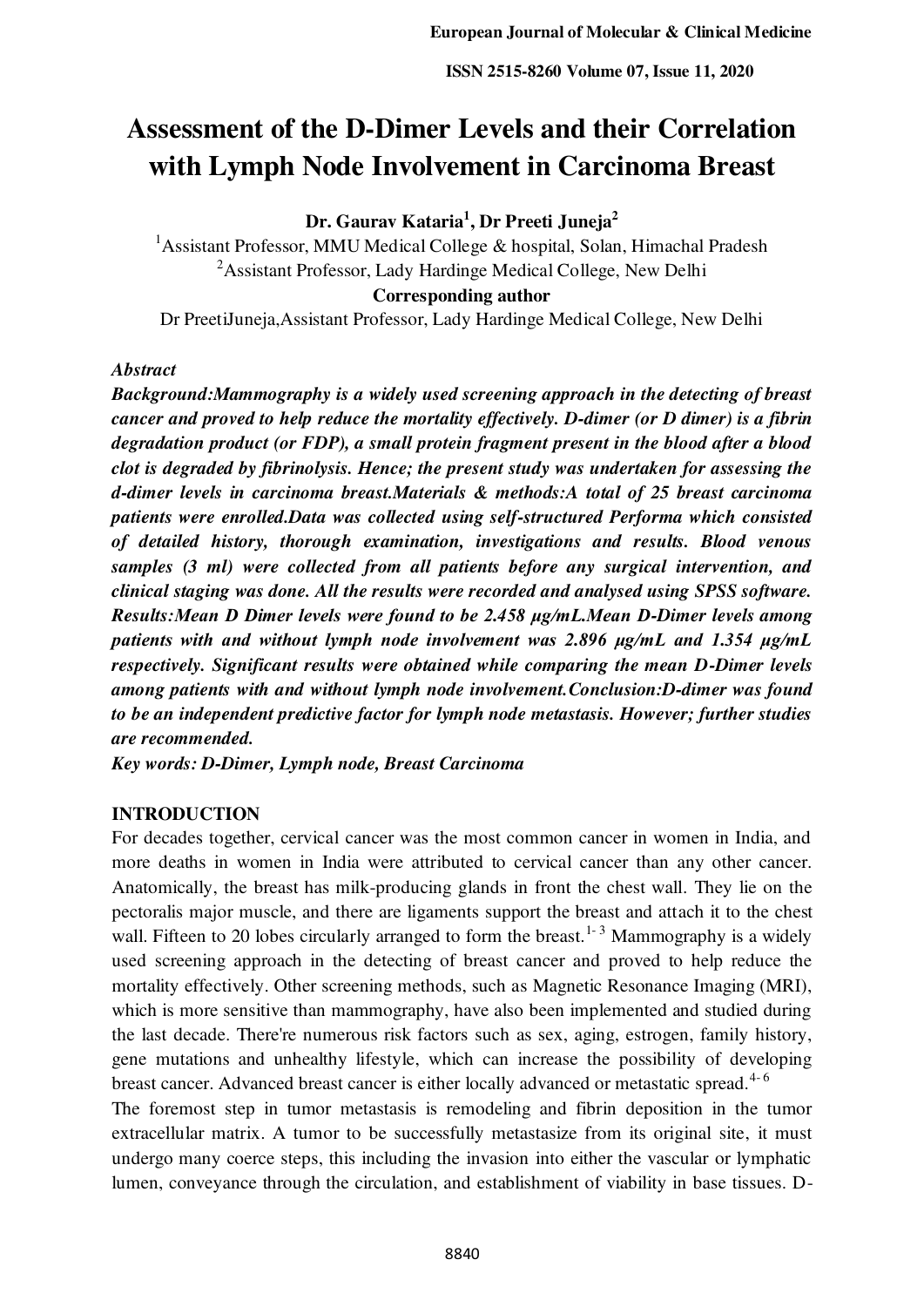# **Assessment of the D-Dimer Levels and their Correlation with Lymph Node Involvement in Carcinoma Breast**

**Dr. Gaurav Kataria<sup>1</sup> , Dr Preeti Juneja<sup>2</sup>**

<sup>1</sup>Assistant Professor, MMU Medical College & hospital, Solan, Himachal Pradesh <sup>2</sup> Assistant Professor, Lady Hardinge Medical College, New Delhi **Corresponding author** 

Dr PreetiJuneja,Assistant Professor, Lady Hardinge Medical College, New Delhi

#### *Abstract*

*Background:Mammography is a widely used screening approach in the detecting of breast cancer and proved to help reduce the mortality effectively. D-dimer (or D dimer) is a fibrin degradation product (or FDP), a small protein fragment present in the blood after a blood clot is degraded by fibrinolysis. Hence; the present study was undertaken for assessing the d-dimer levels in carcinoma breast.Materials & methods:A total of 25 breast carcinoma patients were enrolled.Data was collected using self-structured Performa which consisted of detailed history, thorough examination, investigations and results. Blood venous samples (3 ml) were collected from all patients before any surgical intervention, and clinical staging was done. All the results were recorded and analysed using SPSS software. Results:Mean D Dimer levels were found to be 2.458 μg/mL.Mean D-Dimer levels among patients with and without lymph node involvement was 2.896 μg/mL and 1.354 μg/mL respectively. Significant results were obtained while comparing the mean D-Dimer levels among patients with and without lymph node involvement.Conclusion:D-dimer was found to be an independent predictive factor for lymph node metastasis. However; further studies are recommended.* 

*Key words: D-Dimer, Lymph node, Breast Carcinoma* 

## **INTRODUCTION**

For decades together, cervical cancer was the most common cancer in women in India, and more deaths in women in India were attributed to cervical cancer than any other cancer. Anatomically, the breast has milk-producing glands in front the chest wall. They lie on the pectoralis major muscle, and there are ligaments support the breast and attach it to the chest wall. Fifteen to 20 lobes circularly arranged to form the breast.<sup>1-3</sup> Mammography is a widely used screening approach in the detecting of breast cancer and proved to help reduce the mortality effectively. Other screening methods, such as Magnetic Resonance Imaging (MRI), which is more sensitive than mammography, have also been implemented and studied during the last decade. There're numerous risk factors such as sex, aging, estrogen, family history, gene mutations and unhealthy lifestyle, which can increase the possibility of developing breast cancer. Advanced breast cancer is either locally advanced or metastatic spread.<sup>4-6</sup>

The foremost step in tumor metastasis is remodeling and fibrin deposition in the tumor extracellular matrix. A tumor to be successfully metastasize from its original site, it must undergo many coerce steps, this including the invasion into either the vascular or lymphatic lumen, conveyance through the circulation, and establishment of viability in base tissues. D-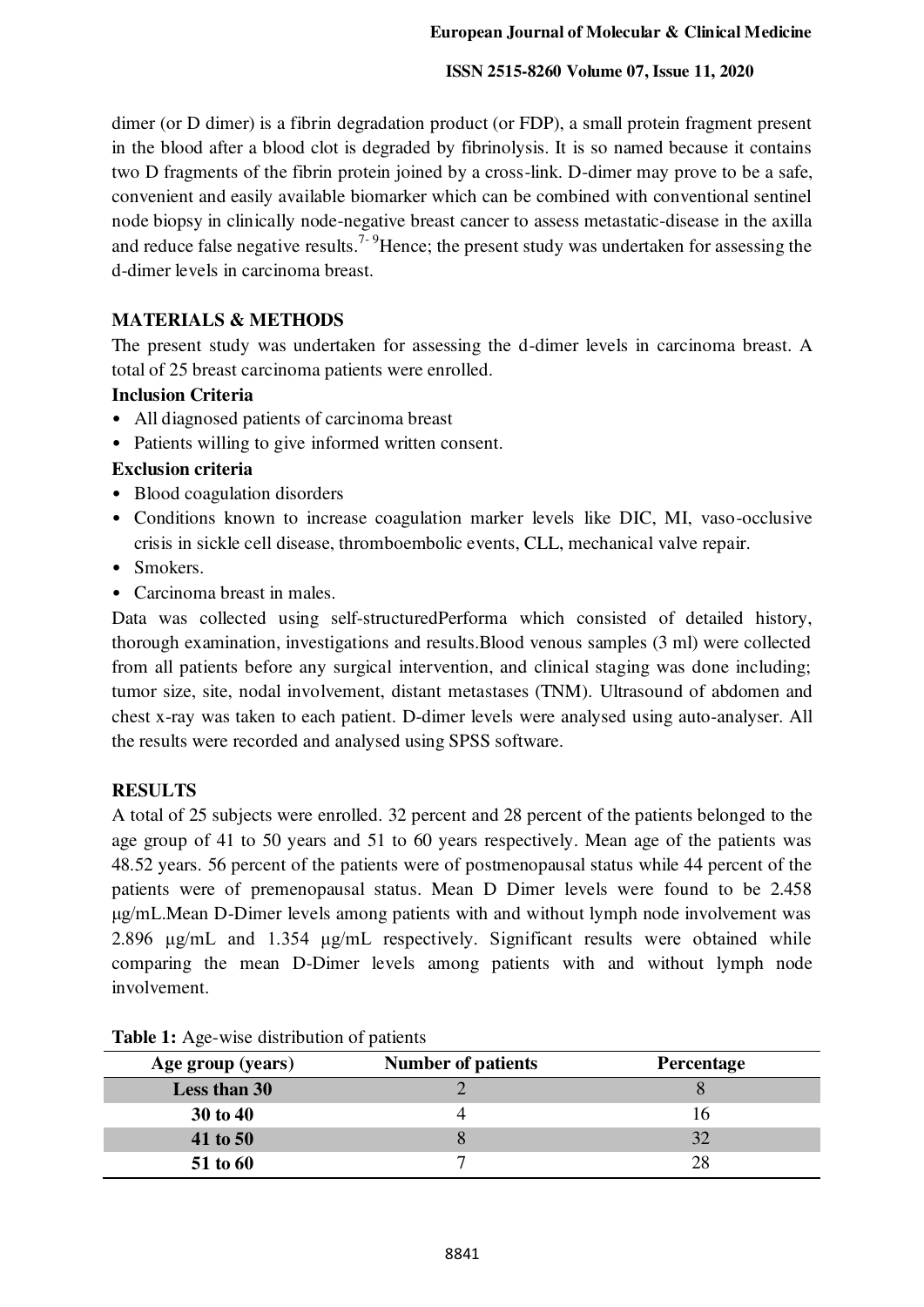## **ISSN 2515-8260 Volume 07, Issue 11, 2020**

dimer (or D dimer) is a fibrin degradation product (or FDP), a small protein fragment present in the blood after a blood clot is degraded by fibrinolysis. It is so named because it contains two D fragments of the fibrin protein joined by a cross-link. D-dimer may prove to be a safe, convenient and easily available biomarker which can be combined with conventional sentinel node biopsy in clinically node-negative breast cancer to assess metastatic-disease in the axilla and reduce false negative results.<sup>7-9</sup>Hence; the present study was undertaken for assessing the d-dimer levels in carcinoma breast.

# **MATERIALS & METHODS**

The present study was undertaken for assessing the d-dimer levels in carcinoma breast. A total of 25 breast carcinoma patients were enrolled.

# **Inclusion Criteria**

- All diagnosed patients of carcinoma breast
- Patients willing to give informed written consent.

# **Exclusion criteria**

- Blood coagulation disorders
- Conditions known to increase coagulation marker levels like DIC, MI, vaso-occlusive crisis in sickle cell disease, thromboembolic events, CLL, mechanical valve repair.
- Smokers.
- Carcinoma breast in males.

Data was collected using self-structuredPerforma which consisted of detailed history, thorough examination, investigations and results.Blood venous samples (3 ml) were collected from all patients before any surgical intervention, and clinical staging was done including; tumor size, site, nodal involvement, distant metastases (TNM). Ultrasound of abdomen and chest x-ray was taken to each patient. D-dimer levels were analysed using auto-analyser. All the results were recorded and analysed using SPSS software.

## **RESULTS**

A total of 25 subjects were enrolled. 32 percent and 28 percent of the patients belonged to the age group of 41 to 50 years and 51 to 60 years respectively. Mean age of the patients was 48.52 years. 56 percent of the patients were of postmenopausal status while 44 percent of the patients were of premenopausal status. Mean D Dimer levels were found to be 2.458 μg/mL.Mean D-Dimer levels among patients with and without lymph node involvement was 2.896 μg/mL and 1.354 μg/mL respectively. Significant results were obtained while comparing the mean D-Dimer levels among patients with and without lymph node involvement.

| Age group (years) | <b>Number of patients</b> | Percentage |
|-------------------|---------------------------|------------|
| Less than 30      |                           |            |
| 30 to 40          |                           |            |
| 41 to 50          |                           | 32         |
| 51 to 60          |                           | 28         |

## Table 1: Age-wise distribution of patients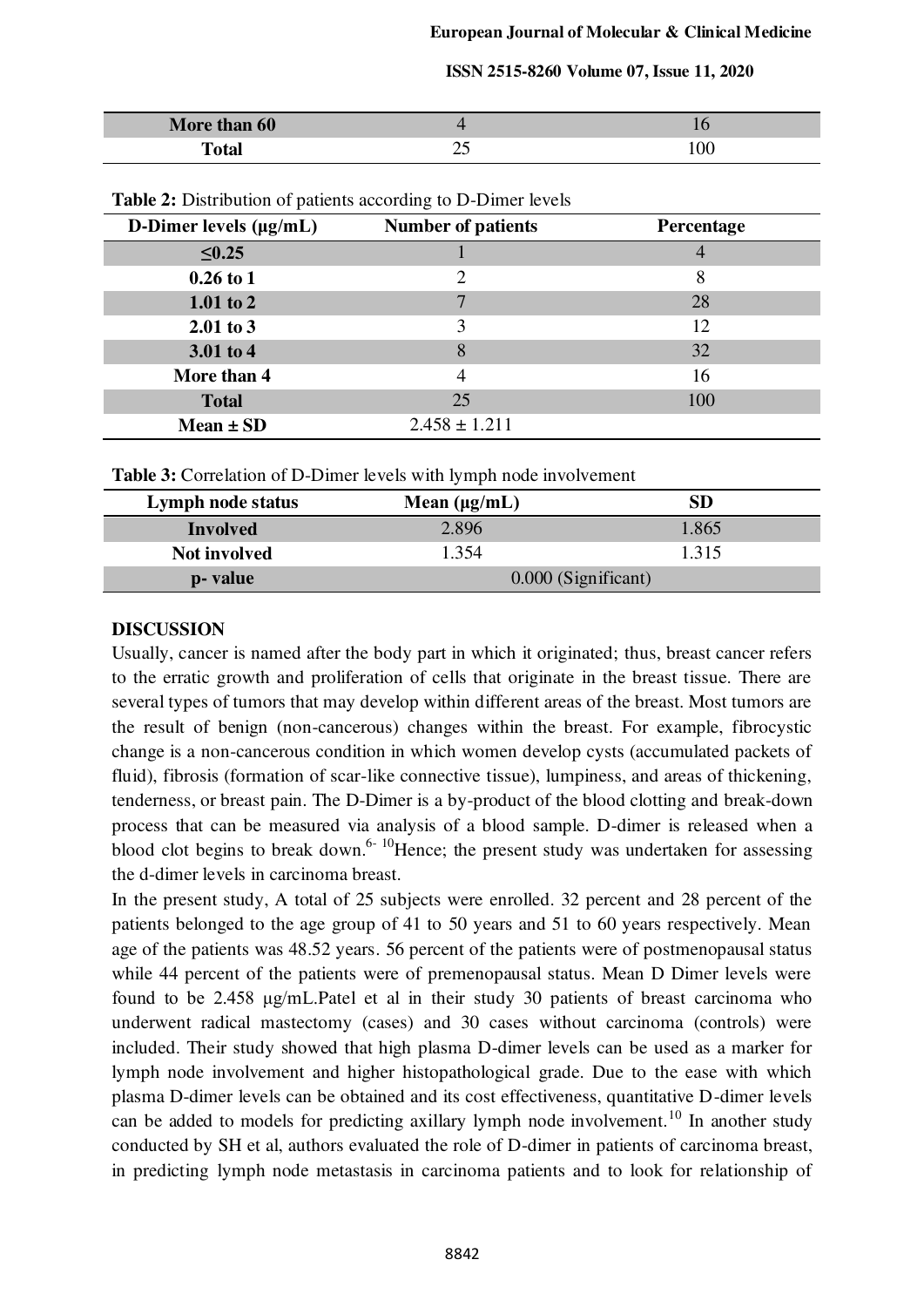| More than 60 |          |  |
|--------------|----------|--|
| `ota.        | ر_<br>__ |  |

| D-Dimer levels $(\mu g/mL)$ | ------<br><b>Number of patients</b> | Percentage     |
|-----------------------------|-------------------------------------|----------------|
| $\leq 0.25$                 |                                     |                |
|                             |                                     | $\overline{4}$ |
| $0.26 \text{ to } 1$        | 2                                   | 8              |
| $1.01$ to 2                 |                                     | 28             |
| $2.01$ to 3                 | 3                                   | 12             |
| $3.01$ to 4                 | 8                                   | 32             |
| More than 4                 |                                     | 16             |
| <b>Total</b>                | 25                                  | 100            |
| $Mean \pm SD$               | $2.458 \pm 1.211$                   |                |

**Table 2:** Distribution of patients according to D-Dimer levels

| Lymph node status   | Mean $(\mu g/mL)$   | SD    |
|---------------------|---------------------|-------|
| <b>Involved</b>     | 2.896               | 1.865 |
| <b>Not involved</b> | 1.354               | 1.315 |
| p- value            | 0.000 (Significant) |       |

#### **DISCUSSION**

Usually, cancer is named after the body part in which it originated; thus, breast cancer refers to the erratic growth and proliferation of cells that originate in the breast tissue. There are several types of tumors that may develop within different areas of the breast. Most tumors are the result of benign (non-cancerous) changes within the breast. For example, fibrocystic change is a non-cancerous condition in which women develop cysts (accumulated packets of fluid), fibrosis (formation of scar-like connective tissue), lumpiness, and areas of thickening, tenderness, or breast pain. The D-Dimer is a by-product of the blood clotting and break-down process that can be measured via analysis of a blood sample. D-dimer is released when a blood clot begins to break down.<sup>6-10</sup>Hence; the present study was undertaken for assessing the d-dimer levels in carcinoma breast.

In the present study, A total of 25 subjects were enrolled. 32 percent and 28 percent of the patients belonged to the age group of 41 to 50 years and 51 to 60 years respectively. Mean age of the patients was 48.52 years. 56 percent of the patients were of postmenopausal status while 44 percent of the patients were of premenopausal status. Mean D Dimer levels were found to be 2.458 μg/mL.Patel et al in their study 30 patients of breast carcinoma who underwent radical mastectomy (cases) and 30 cases without carcinoma (controls) were included. Their study showed that high plasma D-dimer levels can be used as a marker for lymph node involvement and higher histopathological grade. Due to the ease with which plasma D-dimer levels can be obtained and its cost effectiveness, quantitative D-dimer levels can be added to models for predicting axillary lymph node involvement.<sup>10</sup> In another study conducted by SH et al, authors evaluated the role of D-dimer in patients of carcinoma breast, in predicting lymph node metastasis in carcinoma patients and to look for relationship of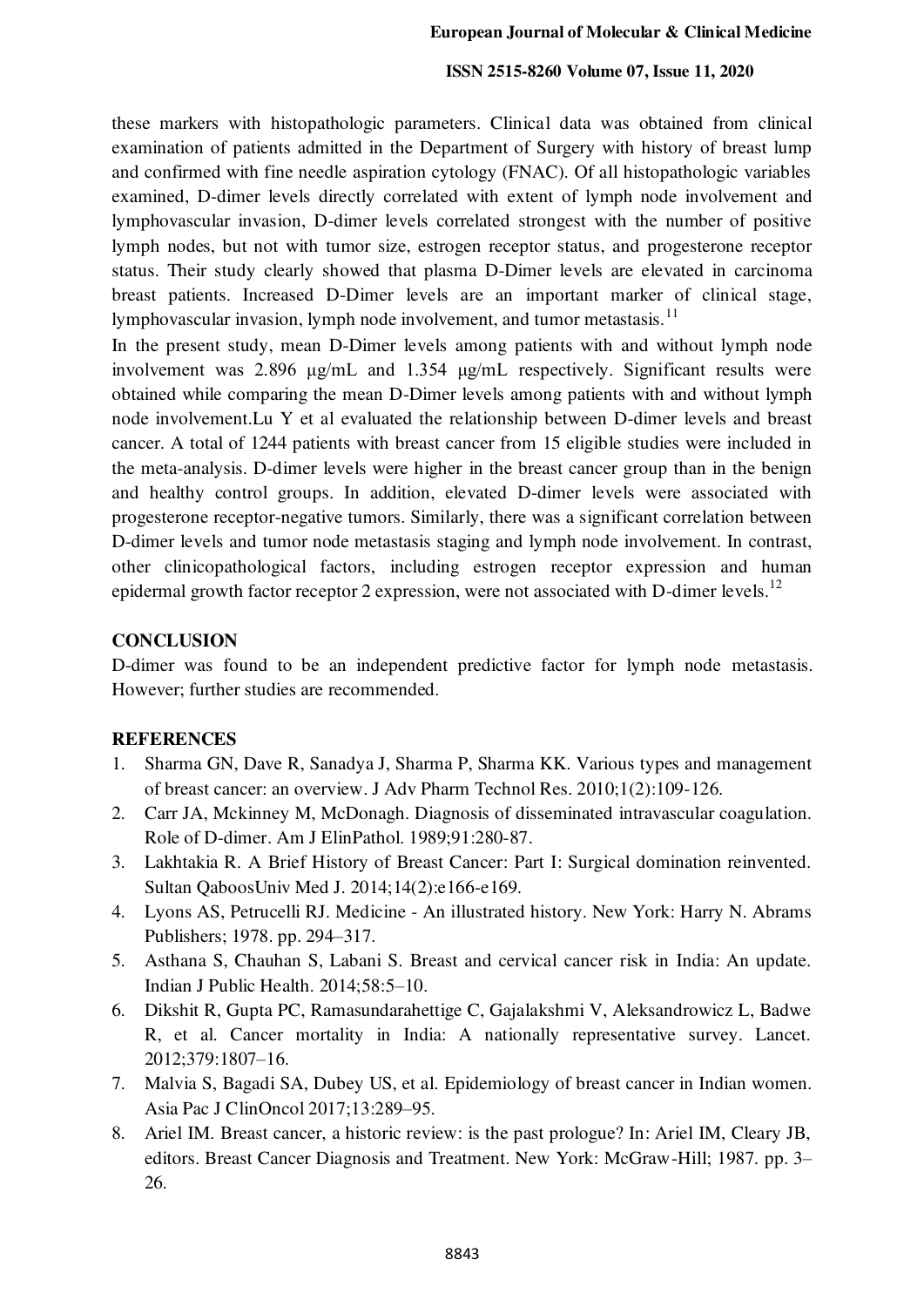#### **ISSN 2515-8260 Volume 07, Issue 11, 2020**

these markers with histopathologic parameters. Clinical data was obtained from clinical examination of patients admitted in the Department of Surgery with history of breast lump and confirmed with fine needle aspiration cytology (FNAC). Of all histopathologic variables examined, D-dimer levels directly correlated with extent of lymph node involvement and lymphovascular invasion, D-dimer levels correlated strongest with the number of positive lymph nodes, but not with tumor size, estrogen receptor status, and progesterone receptor status. Their study clearly showed that plasma D-Dimer levels are elevated in carcinoma breast patients. Increased D-Dimer levels are an important marker of clinical stage, lymphovascular invasion, lymph node involvement, and tumor metastasis.<sup>11</sup>

In the present study, mean D-Dimer levels among patients with and without lymph node involvement was 2.896 μg/mL and 1.354 μg/mL respectively. Significant results were obtained while comparing the mean D-Dimer levels among patients with and without lymph node involvement.Lu Y et al evaluated the relationship between D-dimer levels and breast cancer. A total of 1244 patients with breast cancer from 15 eligible studies were included in the meta-analysis. D-dimer levels were higher in the breast cancer group than in the benign and healthy control groups. In addition, elevated D-dimer levels were associated with progesterone receptor-negative tumors. Similarly, there was a significant correlation between D-dimer levels and tumor node metastasis staging and lymph node involvement. In contrast, other clinicopathological factors, including estrogen receptor expression and human epidermal growth factor receptor 2 expression, were not associated with D-dimer levels.<sup>12</sup>

## **CONCLUSION**

D-dimer was found to be an independent predictive factor for lymph node metastasis. However; further studies are recommended.

## **REFERENCES**

- 1. Sharma GN, Dave R, Sanadya J, Sharma P, Sharma KK. Various types and management of breast cancer: an overview. J Adv Pharm Technol Res. 2010;1(2):109-126.
- 2. Carr JA, Mckinney M, McDonagh. Diagnosis of disseminated intravascular coagulation. Role of D-dimer. Am J ElinPathol. 1989;91:280-87.
- 3. Lakhtakia R. A Brief History of Breast Cancer: Part I: Surgical domination reinvented. Sultan QaboosUniv Med J. 2014;14(2):e166-e169.
- 4. Lyons AS, Petrucelli RJ. Medicine An illustrated history. New York: Harry N. Abrams Publishers; 1978. pp. 294–317.
- 5. Asthana S, Chauhan S, Labani S. Breast and cervical cancer risk in India: An update. Indian J Public Health. 2014;58:5–10.
- 6. Dikshit R, Gupta PC, Ramasundarahettige C, Gajalakshmi V, Aleksandrowicz L, Badwe R, et al. Cancer mortality in India: A nationally representative survey. Lancet. 2012;379:1807–16.
- 7. Malvia S, Bagadi SA, Dubey US, et al. Epidemiology of breast cancer in Indian women. Asia Pac J ClinOncol 2017;13:289–95.
- 8. Ariel IM. Breast cancer, a historic review: is the past prologue? In: Ariel IM, Cleary JB, editors. Breast Cancer Diagnosis and Treatment. New York: McGraw-Hill; 1987. pp. 3– 26.